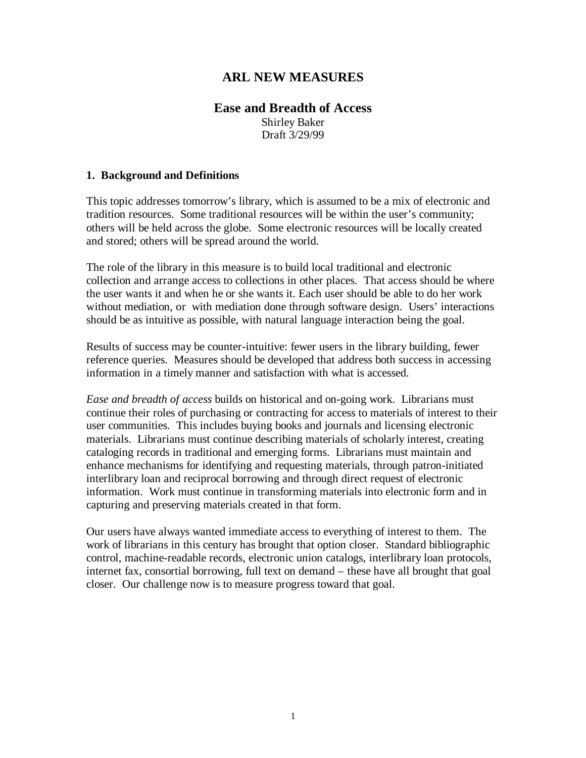## **ARL NEW MEASURES**

# **Ease and Breadth of Access**

Shirley Baker Draft 3/29/99

#### **1. Background and Definitions**

This topic addresses tomorrow's library, which is assumed to be a mix of electronic and tradition resources. Some traditional resources will be within the user's community; others will be held across the globe. Some electronic resources will be locally created and stored; others will be spread around the world.

The role of the library in this measure is to build local traditional and electronic collection and arrange access to collections in other places. That access should be where the user wants it and when he or she wants it. Each user should be able to do her work without mediation, or with mediation done through software design. Users' interactions should be as intuitive as possible, with natural language interaction being the goal.

Results of success may be counter-intuitive: fewer users in the library building, fewer reference queries. Measures should be developed that address both success in accessing information in a timely manner and satisfaction with what is accessed.

*Ease and breadth of access* builds on historical and on-going work. Librarians must continue their roles of purchasing or contracting for access to materials of interest to their user communities. This includes buying books and journals and licensing electronic materials. Librarians must continue describing materials of scholarly interest, creating cataloging records in traditional and emerging forms. Librarians must maintain and enhance mechanisms for identifying and requesting materials, through patron-initiated interlibrary loan and reciprocal borrowing and through direct request of electronic information. Work must continue in transforming materials into electronic form and in capturing and preserving materials created in that form.

Our users have always wanted immediate access to everything of interest to them. The work of librarians in this century has brought that option closer. Standard bibliographic control, machine-readable records, electronic union catalogs, interlibrary loan protocols, internet fax, consortial borrowing, full text on demand – these have all brought that goal closer. Our challenge now is to measure progress toward that goal.